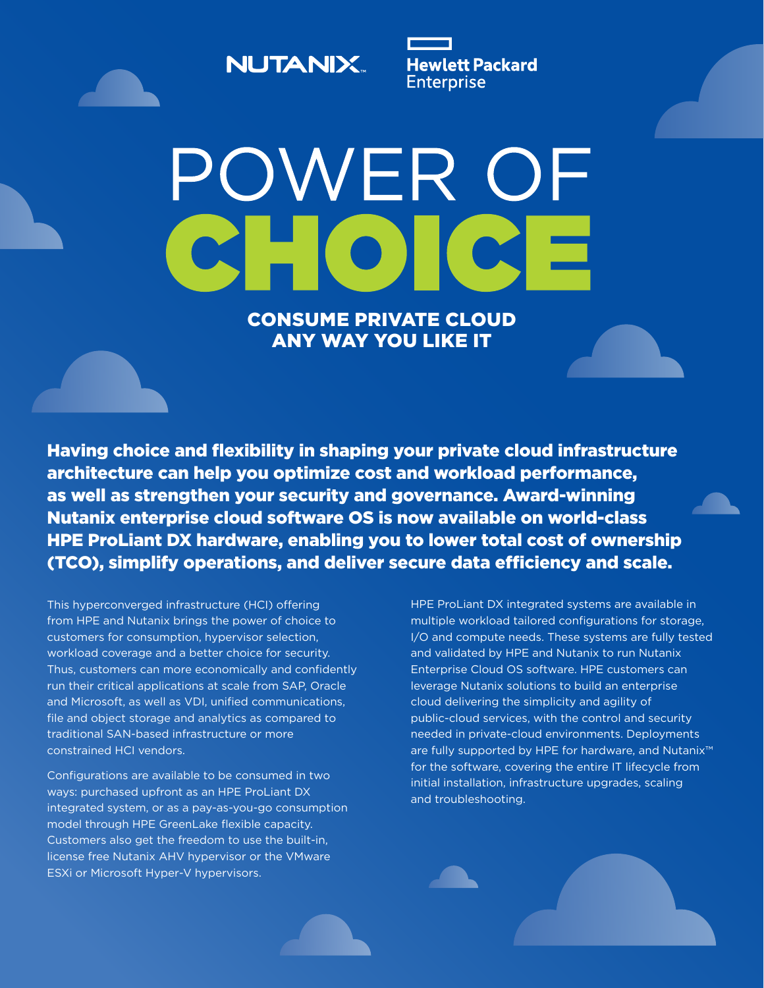**NUTANIX.** 

**Hewlett Packard Enterprise** 

POWER OF EC CONSUME PRIVATE CLOUD

ANY WAY YOU LIKE IT

Having choice and flexibility in shaping your private cloud infrastructure architecture can help you optimize cost and workload performance, as well as strengthen your security and governance. Award-winning Nutanix enterprise cloud software OS is now available on world-class HPE ProLiant DX hardware, enabling you to lower total cost of ownership (TCO), simplify operations, and deliver secure data efficiency and scale.

This hyperconverged infrastructure (HCI) offering from HPE and Nutanix brings the power of choice to customers for consumption, hypervisor selection, workload coverage and a better choice for security. Thus, customers can more economically and confidently run their critical applications at scale from SAP, Oracle and Microsoft, as well as VDI, unified communications, file and object storage and analytics as compared to traditional SAN-based infrastructure or more constrained HCI vendors.

Configurations are available to be consumed in two ways: purchased upfront as an HPE ProLiant DX integrated system, or as a pay-as-you-go consumption model through HPE GreenLake flexible capacity. Customers also get the freedom to use the built-in, license free Nutanix AHV hypervisor or the VMware ESXi or Microsoft Hyper-V hypervisors.

HPE ProLiant DX integrated systems are available in multiple workload tailored configurations for storage, I/O and compute needs. These systems are fully tested and validated by HPE and Nutanix to run Nutanix Enterprise Cloud OS software. HPE customers can leverage Nutanix solutions to build an enterprise cloud delivering the simplicity and agility of public-cloud services, with the control and security needed in private-cloud environments. Deployments are fully supported by HPE for hardware, and Nutanix™ for the software, covering the entire IT lifecycle from initial installation, infrastructure upgrades, scaling and troubleshooting.